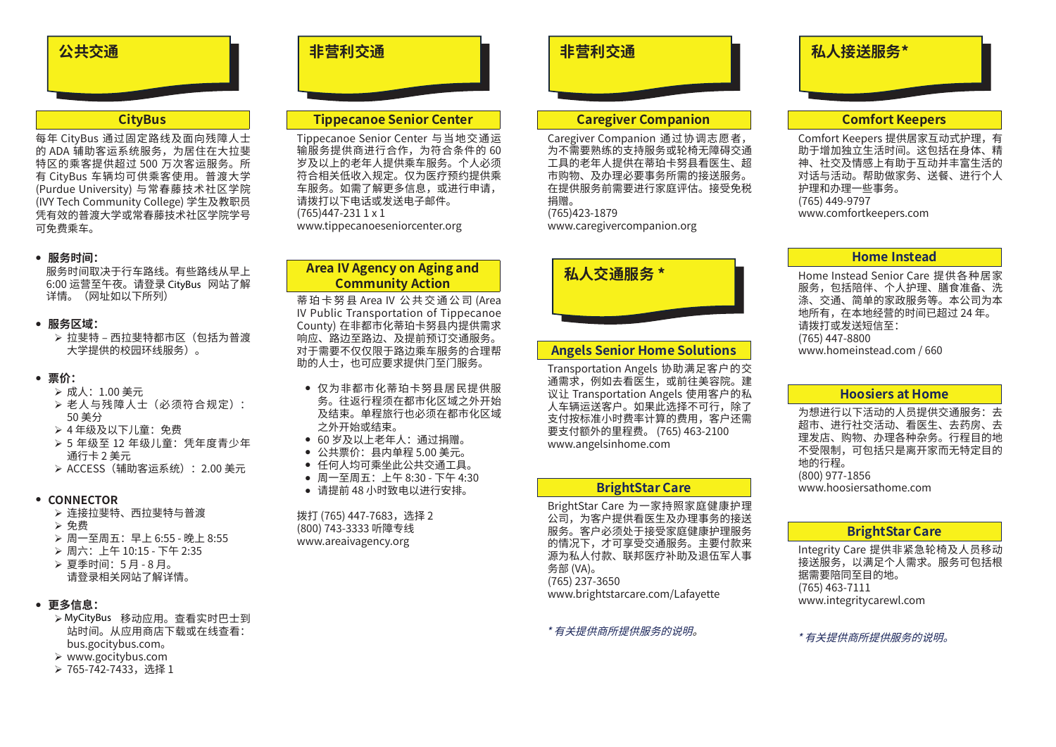

### **CityBus**

每年 CityBus 通过固定路线及面向残障人士 的 ADA 辅助客运系统服务,为居住在大拉斐 特区的乘客提供超过 500 万次客运服务。所 有 CityBus 车辆均可供乘客使用。普渡大学 (Purdue University) 与常春藤技术社区学院 (IVY Tech Community College) 学生及教职员 凭有效的普渡大学或常春藤技术社区学院学号 可免费乘车。

#### <sup>z</sup> **服务时间:**

服务时间取决于行车路线。有些路线从早上 6:00 运营至午夜。请登录 CtiyBus 网站了解 详情。(网址如以下所列)

#### <sup>z</sup> **服务区域:**

¾ 拉斐特 – 西拉斐特都市区(包括为普渡 大学提供的校园环线服务)。 )运营车夜。请登录 CityBus<br>5。(网址如以下所列)<br>5、(网址如以下所列)<br>在斐特·西拉斐特都服务)。<br>在线:西拉斐特都服务)。<br>在美操作的校园环线服务(第一次)<br>在美好及以下儿童:免童:<br>1. 人与残障人士(必须:费<br>1. 人与残心工作,是: 先生<br>1. 人与发生和客运统):<br>1. 人与发生和客法统计<br>1. 人与分子和主义的,并且是<br>1. 人与分子和主义的,<br>2. 人与分子和主义的,<br>2. 人民工作业的理想的,<br><br>2. 人民工作

#### <sup>z</sup> **票价:**

- ¾ 成人:1.00 美元
- ¾ 老人与残障人士(必须符合规定): 50 美分
- ¾ 4 年级及以下儿童:免费
- ▶ 5 年级至 12 年级儿童:凭年度青少年 通行卡 2 美元
- ¾ ACCESS(辅助客运系统):2.00 美元

#### <sup>z</sup> **CONNECTOR**

- ¾ 连接拉斐特、西拉斐特与普渡
- ¾ 免费
- ¾ 周一至周五:早上 6:55 晚上 8:55
- ¾ 周六:上午 10:15 下午 2:35
- ¾ 夏季时间:5 月 8 月。 请登录相关网站了解详情。

# <sup>z</sup> **更多信息:**

- ¾ MyOtyBus 移动应用。查看实时巴士到 站时间。从应用商店下载或在线查看: bus.gocitybus.com。
- ¾ www.gocitybus.com
- ▶ 765-742-7433, 选择 1

# **Tippecanoe Senior Center**

Tippecanoe Senior Center 与当地交通运 输服务提供商进行合作,为符合条件的 60 岁及以上的老年人提供乘车服务。个人必须 符合相关低收入规定。仅为医疗预约提供乘 车服务。如需了解更多信息,或进行申请, 请拨打以下电话或发送电子邮件。 (765)447-231 1 x 1 www.tippecanoeseniorcenter.org

# **Area IV Agency on Aging and Community Action**

蒂 珀 卡 努 县 Area IV 公 共 交 通 公 司 (Area IV Public Transportation of Tippecanoe County) 在非都市化蒂珀卡努县内提供需求 。。。。。。。。。。。。<br>响应、路边至路边、及提前预订交通服务。 对于需要不仅仅限于路边乘车服务的合理帮 助的人士,也可应要求提供门至门服务。

- 仅为非都市化蒂珀卡努县居民提供服 务。往返行程须在都市化区域之外开始 及结束。单程旅行也必须在都市化区域 之外开始或结束。
- <sup>z</sup> 60 岁及以上老年人:通过捐赠。
- <sup>z</sup> 公共票价:县内单程 5.00 美元。
- 任何人均可乘坐此公共交通工具。
- 周一至周五: 上午 8:30 下午 4:30
- 请提前 48 小时致电以进行安排。

拨打 (765) 447-7683,选择 2 (800) 743-3333 听障专线 www.areaivagency.org

# **非营利交通 非营利交通 私人接送服务\***

# **Caregiver Companion**

Caregiver Companion 通过协调志愿者, 为不需要熟练的支持服务或轮椅无障碍交通 工具的老年人提供在蒂珀卡努县看医生、超 市购物、及办理必要事务所需的接送服务。 在提供服务前需要进行家庭评估。接受免税 捐赠。 (765)423-1879 www.caregivercompanion.org



### **Angels Senior Home Solutions**

Transportation Angels 协助满足客户的交 通需求,例如去看医生,或前往美容院。建 议让 Transportation Angels 使用客户的私 人车辆运送客户。如果此选择不可行,除了 支付按标准小时费率计算的费用,客户还需 要支付额外的里程费。 (765) 463-2100 www.angelsinhome.com

### **BrightStar Care**

BrightStar Care 为一家持照家庭健康护理 公司,为客户提供看医生及办理事务的接送 服务。客户必须处于接受家庭健康护理服务 的情况下,才可享受交通服务。主要付款来 源为私人付款、联邦医疗补助及退伍军人事 务部 (VA)。 (765) 237-3650 www.brightstarcare.com/Lafayette

#### \* 有关提供商所提供服务的说明。

# **Comfort Keepers**

Comfort Keepers 提供居家互动式护理,有 助于增加独立生活时间。这包括在身体、精 神、社交及情感上有助于互动并丰富生活的 对话与活动。帮助做家务、送餐、进行个人 护理和办理一些事务。 (765) 449-9797 www.comfortkeepers.com

#### **Home Instead**

Home Instead Senior Care 提供各种居家 服务,包括陪伴、个人护理、膳食准备、洗 涤、交通、简单的家政服务等。本公司为本 地所有,在本地经营的时间已超过 24 年。 请拨打或发送短信至: (765) 447-8800 www.homeinstead.com / 660

# **Hoosiers at Home**

为想进行以下活动的人员提供交通服务:去 超市、进行社交活动、看医生、去药房、去 理发店、购物、办理各种杂务。行程目的地 不受限制,可包括只是离开家而无特定目的 地的行程。 (800) 977-1856 www.hoosiersathome.com

## **BrightStar Care**

Integrity Care 提供非紧急轮椅及人员移动 接送服务,以满足个人需求。服务可包括根 据需要陪同至目的地。 (765) 463-7111 www.integritycarewl.com

#### \* 有关提供商所提供服务的说明。